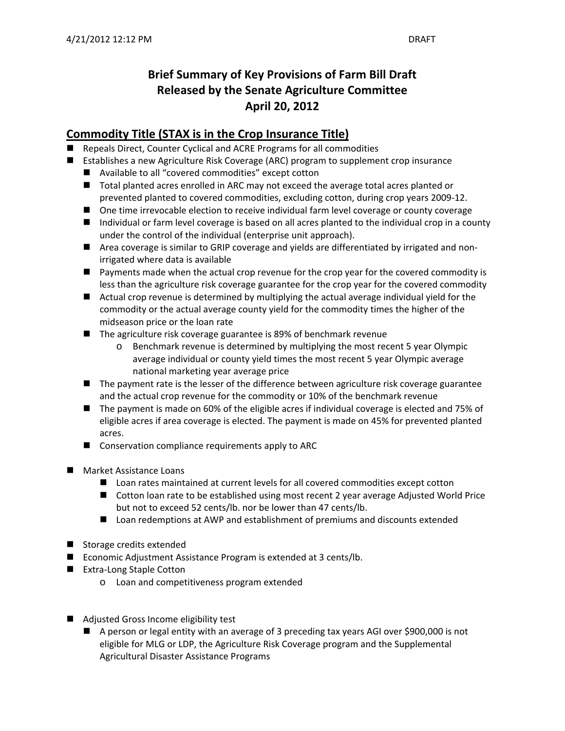# **Brief Summary of Key Provisions of Farm Bill Draft Released by the Senate Agriculture Committee April 20, 2012**

## **Commodity Title (STAX is in the Crop Insurance Title)**

- Repeals Direct, Counter Cyclical and ACRE Programs for all commodities
- Establishes a new Agriculture Risk Coverage (ARC) program to supplement crop insurance
	- Available to all "covered commodities" except cotton
	- Total planted acres enrolled in ARC may not exceed the average total acres planted or prevented planted to covered commodities, excluding cotton, during crop years 2009‐12.
	- One time irrevocable election to receive individual farm level coverage or county coverage
	- Individual or farm level coverage is based on all acres planted to the individual crop in a county under the control of the individual (enterprise unit approach).
	- Area coverage is similar to GRIP coverage and yields are differentiated by irrigated and nonirrigated where data is available
	- Payments made when the actual crop revenue for the crop year for the covered commodity is less than the agriculture risk coverage guarantee for the crop year for the covered commodity
	- Actual crop revenue is determined by multiplying the actual average individual yield for the commodity or the actual average county yield for the commodity times the higher of the midseason price or the loan rate
	- The agriculture risk coverage guarantee is 89% of benchmark revenue
		- o Benchmark revenue is determined by multiplying the most recent 5 year Olympic average individual or county yield times the most recent 5 year Olympic average national marketing year average price
	- The payment rate is the lesser of the difference between agriculture risk coverage guarantee and the actual crop revenue for the commodity or 10% of the benchmark revenue
	- The payment is made on 60% of the eligible acres if individual coverage is elected and 75% of eligible acres if area coverage is elected. The payment is made on 45% for prevented planted acres.
	- Conservation compliance requirements apply to ARC
- **Market Assistance Loans** 
	- Loan rates maintained at current levels for all covered commodities except cotton
	- Cotton loan rate to be established using most recent 2 year average Adjusted World Price but not to exceed 52 cents/lb. nor be lower than 47 cents/lb.
	- Loan redemptions at AWP and establishment of premiums and discounts extended
- Storage credits extended
- Economic Adjustment Assistance Program is extended at 3 cents/lb.
- Extra-Long Staple Cotton
	- o Loan and competitiveness program extended
- Adjusted Gross Income eligibility test
	- A person or legal entity with an average of 3 preceding tax years AGI over \$900,000 is not eligible for MLG or LDP, the Agriculture Risk Coverage program and the Supplemental Agricultural Disaster Assistance Programs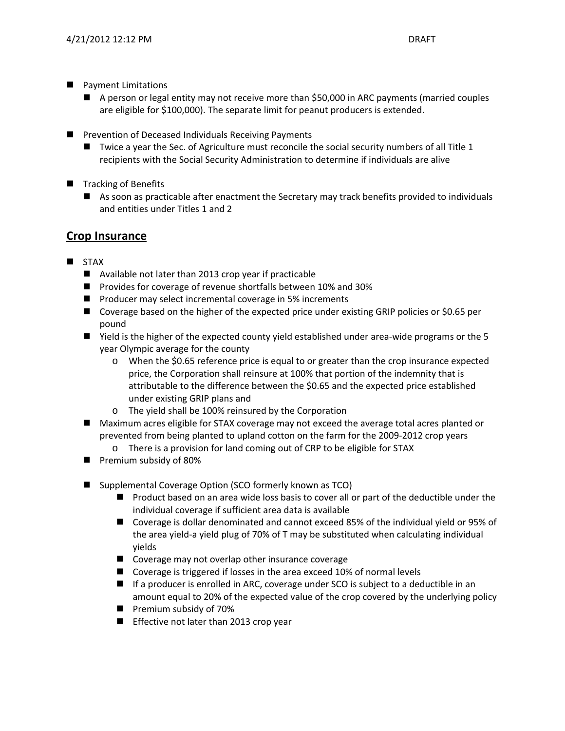- **Payment Limitations** 
	- A person or legal entity may not receive more than \$50,000 in ARC payments (married couples are eligible for \$100,000). The separate limit for peanut producers is extended.
- **Prevention of Deceased Individuals Receiving Payments** 
	- $\blacksquare$  Twice a year the Sec. of Agriculture must reconcile the social security numbers of all Title 1 recipients with the Social Security Administration to determine if individuals are alive
- Tracking of Benefits
	- As soon as practicable after enactment the Secretary may track benefits provided to individuals and entities under Titles 1 and 2

### **Crop Insurance**

- **STAX** 
	- Available not later than 2013 crop year if practicable
	- Provides for coverage of revenue shortfalls between 10% and 30%
	- **Peroducer may select incremental coverage in 5% increments**
	- Coverage based on the higher of the expected price under existing GRIP policies or \$0.65 per pound
	- Yield is the higher of the expected county yield established under area-wide programs or the 5 year Olympic average for the county
		- o When the \$0.65 reference price is equal to or greater than the crop insurance expected price, the Corporation shall reinsure at 100% that portion of the indemnity that is attributable to the difference between the \$0.65 and the expected price established under existing GRIP plans and
		- o The yield shall be 100% reinsured by the Corporation
	- Maximum acres eligible for STAX coverage may not exceed the average total acres planted or prevented from being planted to upland cotton on the farm for the 2009‐2012 crop years
		- o There is a provision for land coming out of CRP to be eligible for STAX
	- **Premium subsidy of 80%**
	- Supplemental Coverage Option (SCO formerly known as TCO)
		- **Product based on an area wide loss basis to cover all or part of the deductible under the** individual coverage if sufficient area data is available
		- Coverage is dollar denominated and cannot exceed 85% of the individual yield or 95% of the area yield-a yield plug of 70% of T may be substituted when calculating individual yields
		- Coverage may not overlap other insurance coverage
		- Coverage is triggered if losses in the area exceed 10% of normal levels
		- If a producer is enrolled in ARC, coverage under SCO is subject to a deductible in an amount equal to 20% of the expected value of the crop covered by the underlying policy
		- **Premium subsidy of 70%**
		- **E** Effective not later than 2013 crop year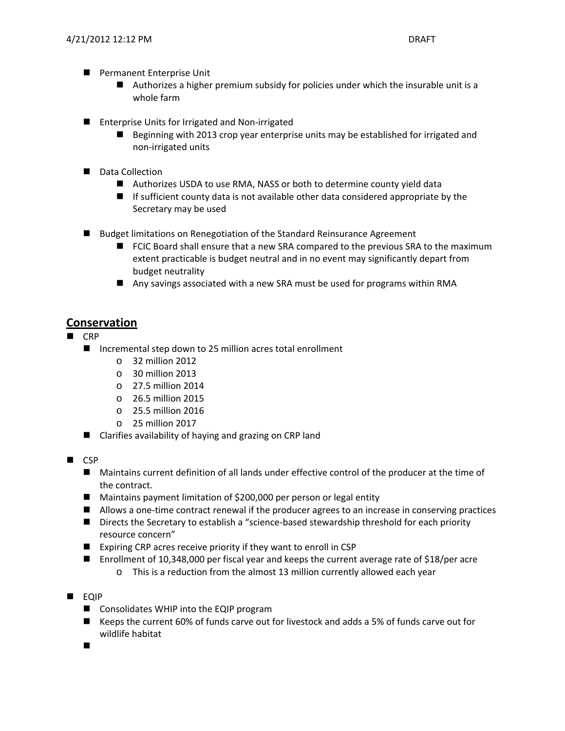- **Permanent Enterprise Unit** 
	- Authorizes a higher premium subsidy for policies under which the insurable unit is a whole farm
- Enterprise Units for Irrigated and Non-irrigated
	- Beginning with 2013 crop year enterprise units may be established for irrigated and non‐irrigated units
- Data Collection
	- Authorizes USDA to use RMA, NASS or both to determine county yield data
	- If sufficient county data is not available other data considered appropriate by the Secretary may be used
- Budget limitations on Renegotiation of the Standard Reinsurance Agreement
	- FCIC Board shall ensure that a new SRA compared to the previous SRA to the maximum extent practicable is budget neutral and in no event may significantly depart from budget neutrality
	- Any savings associated with a new SRA must be used for programs within RMA

### **Conservation**

#### CRP

- Incremental step down to 25 million acres total enrollment
	- o 32 million 2012
	- $\circ$  30 million 2013
	- o 27.5 million 2014
	- o 26.5 million 2015
	- o 25.5 million 2016
	- o 25 million 2017
- Clarifies availability of haying and grazing on CRP land
- $\blacksquare$  CSP
	- Maintains current definition of all lands under effective control of the producer at the time of the contract.
	- Maintains payment limitation of \$200,000 per person or legal entity
	- Allows a one-time contract renewal if the producer agrees to an increase in conserving practices
	- Directs the Secretary to establish a "science-based stewardship threshold for each priority resource concern"
	- Expiring CRP acres receive priority if they want to enroll in CSP
	- Enrollment of 10,348,000 per fiscal year and keeps the current average rate of \$18/per acre
		- o This is a reduction from the almost 13 million currently allowed each year
- **EQIP** 
	- Consolidates WHIP into the EQIP program
	- Keeps the current 60% of funds carve out for livestock and adds a 5% of funds carve out for wildlife habitat

 $\blacksquare$